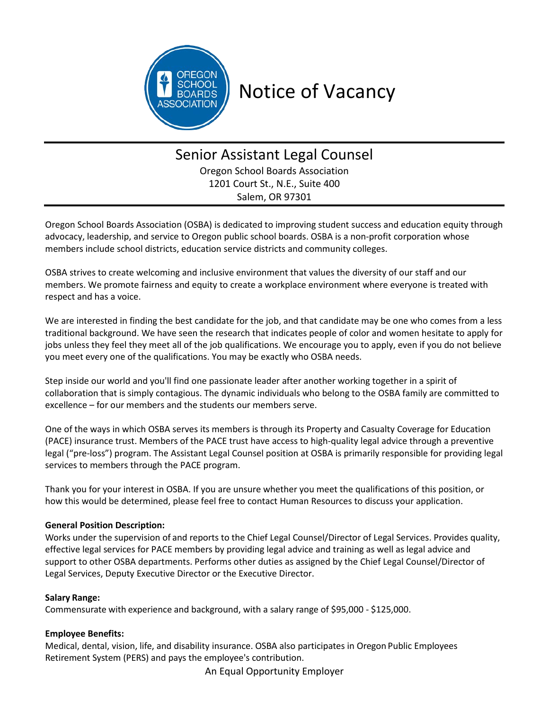

# Notice of Vacancy

# Senior Assistant Legal Counsel Oregon School Boards Association 1201 Court St., N.E., Suite 400

Salem, OR 97301

Oregon School Boards Association (OSBA) is dedicated to improving student success and education equity through advocacy, leadership, and service to Oregon public school boards. OSBA is a non-profit corporation whose members include school districts, education service districts and community colleges.

OSBA strives to create welcoming and inclusive environment that values the diversity of our staff and our members. We promote fairness and equity to create a workplace environment where everyone is treated with respect and has a voice.

We are interested in finding the best candidate for the job, and that candidate may be one who comes from a less traditional background. We have seen the research that indicates people of color and women hesitate to apply for jobs unless they feel they meet all of the job qualifications. We encourage you to apply, even if you do not believe you meet every one of the qualifications. You may be exactly who OSBA needs.

Step inside our world and you'll find one passionate leader after another working together in a spirit of collaboration that is simply contagious. The dynamic individuals who belong to the OSBA family are committed to excellence – for our members and the students our members serve.

One of the ways in which OSBA serves its members is through its Property and Casualty Coverage for Education (PACE) insurance trust. Members of the PACE trust have access to high-quality legal advice through a preventive legal ("pre-loss") program. The Assistant Legal Counsel position at OSBA is primarily responsible for providing legal services to members through the PACE program.

Thank you for your interest in OSBA. If you are unsure whether you meet the qualifications of this position, or how this would be determined, please feel free to contact Human Resources to discuss your application.

# **General Position Description:**

Works under the supervision of and reports to the Chief Legal Counsel/Director of Legal Services. Provides quality, effective legal services for PACE members by providing legal advice and training as well as legal advice and support to other OSBA departments. Performs other duties as assigned by the Chief Legal Counsel/Director of Legal Services, Deputy Executive Director or the Executive Director.

# **Salary Range:**

Commensurate with experience and background, with a salary range of \$95,000 - \$125,000.

#### **Employee Benefits:**

Medical, dental, vision, life, and disability insurance. OSBA also participates in Oregon Public Employees Retirement System (PERS) and pays the employee's contribution.

An Equal Opportunity Employer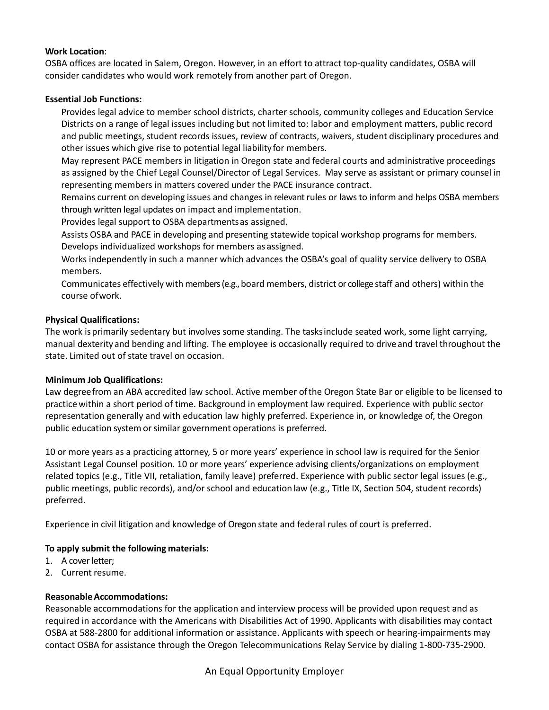#### **Work Location**:

OSBA offices are located in Salem, Oregon. However, in an effort to attract top-quality candidates, OSBA will consider candidates who would work remotely from another part of Oregon.

#### **Essential Job Functions:**

Provides legal advice to member school districts, charter schools, community colleges and Education Service Districts on a range of legal issues including but not limited to: labor and employment matters, public record and public meetings, student records issues, review of contracts, waivers, student disciplinary procedures and other issues which give rise to potential legal liability for members.

May represent PACE members in litigation in Oregon state and federal courts and administrative proceedings as assigned by the Chief Legal Counsel/Director of Legal Services. May serve as assistant or primary counsel in representing members in matters covered under the PACE insurance contract.

Remains current on developing issues and changes in relevant rules or laws to inform and helps OSBA members through written legal updates on impact and implementation.

Provides legal support to OSBA departmentsas assigned.

Assists OSBA and PACE in developing and presenting statewide topical workshop programs for members. Develops individualized workshops for members as assigned.

Works independently in such a manner which advances the OSBA's goal of quality service delivery to OSBA members.

Communicates effectively with members (e.g., board members, district or college staff and others) within the course ofwork.

#### **Physical Qualifications:**

The work isprimarily sedentary but involves some standing. The tasksinclude seated work, some light carrying, manual dexterityand bending and lifting. The employee is occasionally required to driveand travel throughout the state. Limited out of state travel on occasion.

#### **Minimum Job Qualifications:**

Law degreefrom an ABA accredited law school. Active member ofthe Oregon State Bar or eligible to be licensed to practicewithin a short period of time. Background in employment law required. Experience with public sector representation generally and with education law highly preferred. Experience in, or knowledge of, the Oregon public education system or similar government operations is preferred.

10 or more years as a practicing attorney, 5 or more years' experience in school law is required for the Senior Assistant Legal Counsel position. 10 or more years' experience advising clients/organizations on employment related topics (e.g., Title VII, retaliation, family leave) preferred. Experience with public sector legal issues (e.g., public meetings, public records), and/or school and education law (e.g., Title IX, Section 504, student records) preferred.

Experience in civil litigation and knowledge of Oregon state and federal rules of court is preferred.

# **To apply submit the following materials:**

- 1. A cover letter;
- 2. Current resume.

# **ReasonableAccommodations:**

Reasonable accommodations for the application and interview process will be provided upon request and as required in accordance with the Americans with Disabilities Act of 1990. Applicants with disabilities may contact OSBA at 588-2800 for additional information or assistance. Applicants with speech or hearing-impairments may contact OSBA for assistance through the Oregon Telecommunications Relay Service by dialing 1-800-735-2900.